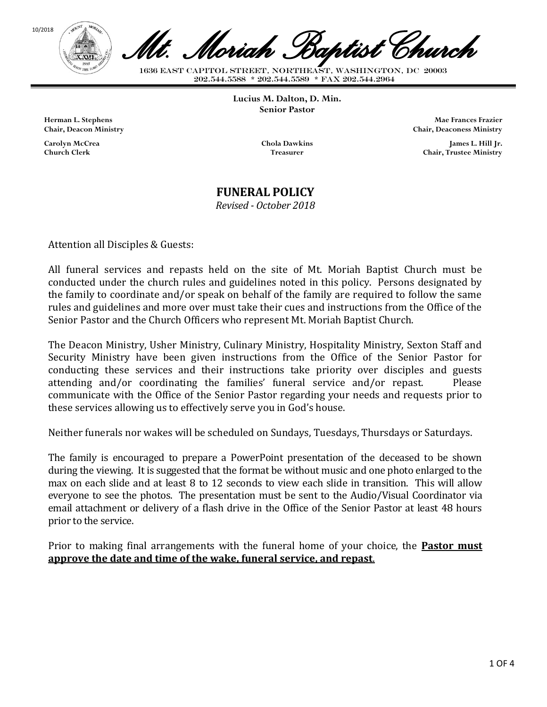



1636 EAST CAPITOL STREET, NORTHEAST, WASHINGTON, DC 20003<br>202.544.5588 \* 202.544.5589 \* FAX 202.544.2964 *Mt. Moriah Baptist Church*

**Lucius M. Dalton, D. Min. Senior Pastor**

**Herman L. Stephens Chair, Deacon Ministry**

**Carolyn McCrea Church Clerk**

**Chola Dawkins Treasurer**

**Mae Frances Frazier Chair, Deaconess Ministry**

> **James L. Hill Jr. Chair, Trustee Ministry**

### **FUNERAL POLICY**

*Revised - October 2018*

Attention all Disciples & Guests:

All funeral services and repasts held on the site of Mt. Moriah Baptist Church must be conducted under the church rules and guidelines noted in this policy. Persons designated by the family to coordinate and/or speak on behalf of the family are required to follow the same rules and guidelines and more over must take their cues and instructions from the Office of the Senior Pastor and the Church Officers who represent Mt. Moriah Baptist Church.

The Deacon Ministry, Usher Ministry, Culinary Ministry, Hospitality Ministry, Sexton Staff and Security Ministry have been given instructions from the Office of the Senior Pastor for conducting these services and their instructions take priority over disciples and guests attending and/or coordinating the families' funeral service and/or repast. Please communicate with the Office of the Senior Pastor regarding your needs and requests prior to these services allowing us to effectively serve you in God's house.

Neither funerals nor wakes will be scheduled on Sundays, Tuesdays, Thursdays or Saturdays.

The family is encouraged to prepare a PowerPoint presentation of the deceased to be shown during the viewing. It is suggested that the format be without music and one photo enlarged to the max on each slide and at least 8 to 12 seconds to view each slide in transition. This will allow everyone to see the photos. The presentation must be sent to the Audio/Visual Coordinator via email attachment or delivery of a flash drive in the Office of the Senior Pastor at least 48 hours prior to the service.

Prior to making final arrangements with the funeral home of your choice, the **Pastor must approve the date and time of the wake, funeral service, and repast**.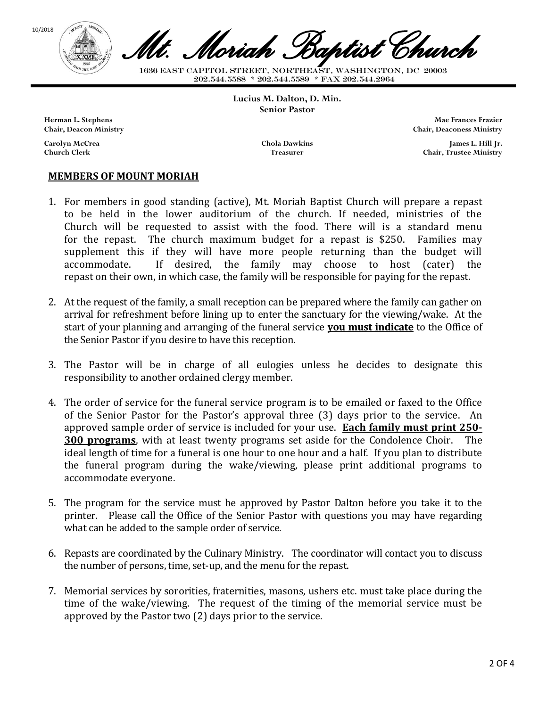



1636 EAST CAPITOL STREET, NORTHEAST, WASHINGTON, DC 20003<br>202.544.5588 \* 202.544.5589 \* FAX 202.544.2964 *Mt. Moriah Baptist Church*

**Lucius M. Dalton, D. Min. Senior Pastor**

**Herman L. Stephens Chair, Deacon Ministry**

**Carolyn McCrea Church Clerk**

**Chola Dawkins Treasurer**

**Mae Frances Frazier Chair, Deaconess Ministry**

> **James L. Hill Jr. Chair, Trustee Ministry**

#### **MEMBERS OF MOUNT MORIAH**

- 1. For members in good standing (active), Mt. Moriah Baptist Church will prepare a repast to be held in the lower auditorium of the church. If needed, ministries of the Church will be requested to assist with the food. There will is a standard menu for the repast. The church maximum budget for a repast is \$250. Families may supplement this if they will have more people returning than the budget will accommodate. If desired, the family may choose to host (cater) the repast on their own, in which case, the family will be responsible for paying for the repast.
- 2. At the request of the family, a small reception can be prepared where the family can gather on arrival for refreshment before lining up to enter the sanctuary for the viewing/wake. At the start of your planning and arranging of the funeral service **you must indicate** to the Office of the Senior Pastor if you desire to have this reception.
- 3. The Pastor will be in charge of all eulogies unless he decides to designate this responsibility to another ordained clergy member.
- 4. The order of service for the funeral service program is to be emailed or faxed to the Office of the Senior Pastor for the Pastor's approval three (3) days prior to the service. An approved sample order of service is included for your use. **Each family must print 250- 300 programs**, with at least twenty programs set aside for the Condolence Choir. The ideal length of time for a funeral is one hour to one hour and a half. If you plan to distribute the funeral program during the wake/viewing, please print additional programs to accommodate everyone.
- 5. The program for the service must be approved by Pastor Dalton before you take it to the printer. Please call the Office of the Senior Pastor with questions you may have regarding what can be added to the sample order of service.
- 6. Repasts are coordinated by the Culinary Ministry. The coordinator will contact you to discuss the number of persons, time, set-up, and the menu for the repast.
- 7. Memorial services by sororities, fraternities, masons, ushers etc. must take place during the time of the wake/viewing. The request of the timing of the memorial service must be approved by the Pastor two (2) days prior to the service.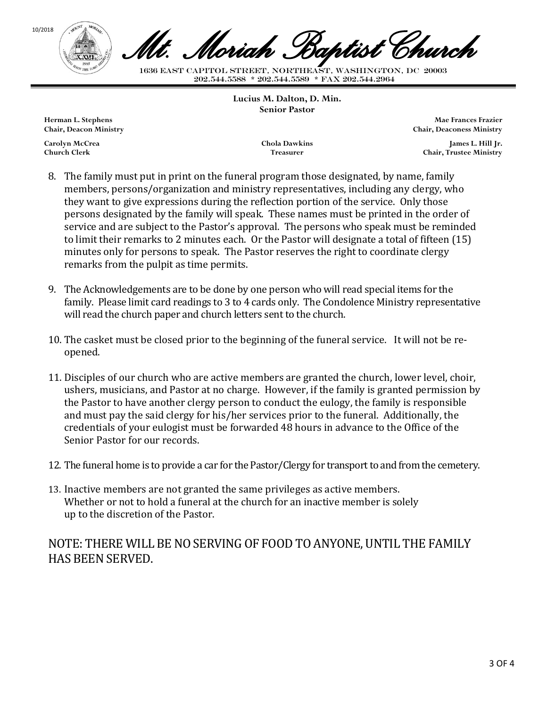

1636 EAST CAPITOL STREET, NORTHEAST, WASHINGTON, DC 20003<br>202.544.5588 \* 202.544.5589 \* FAX 202.544.2964 *Mt. Moriah Baptist Church*

**Lucius M. Dalton, D. Min. Senior Pastor**

**Herman L. Stephens Chair, Deacon Ministry**

**Carolyn McCrea Church Clerk**

**Chola Dawkins Treasurer**

**Mae Frances Frazier Chair, Deaconess Ministry**

> **James L. Hill Jr. Chair, Trustee Ministry**

- 8. The family must put in print on the funeral program those designated, by name, family members, persons/organization and ministry representatives, including any clergy, who they want to give expressions during the reflection portion of the service. Only those persons designated by the family will speak. These names must be printed in the order of service and are subject to the Pastor's approval. The persons who speak must be reminded to limit their remarks to 2 minutes each. Or the Pastor will designate a total of fifteen (15) minutes only for persons to speak. The Pastor reserves the right to coordinate clergy remarks from the pulpit as time permits.
- 9. The Acknowledgements are to be done by one person who will read special items for the family. Please limit card readings to 3 to 4 cards only. The Condolence Ministry representative will read the church paper and church letters sent to the church.
- 10. The casket must be closed prior to the beginning of the funeral service. It will not be reopened.
- 11. Disciples of our church who are active members are granted the church, lower level, choir, ushers, musicians, and Pastor at no charge. However, if the family is granted permission by the Pastor to have another clergy person to conduct the eulogy, the family is responsible and must pay the said clergy for his/her services prior to the funeral. Additionally, the credentials of your eulogist must be forwarded 48 hours in advance to the Office of the Senior Pastor for our records.
- 12. The funeral home is to provide a car for the Pastor/Clergy for transport to and from the cemetery.
- 13. Inactive members are not granted the same privileges as active members. Whether or not to hold a funeral at the church for an inactive member is solely up to the discretion of the Pastor.

## NOTE: THERE WILL BE NO SERVING OF FOOD TO ANYONE, UNTIL THE FAMILY HAS BEEN SERVED.